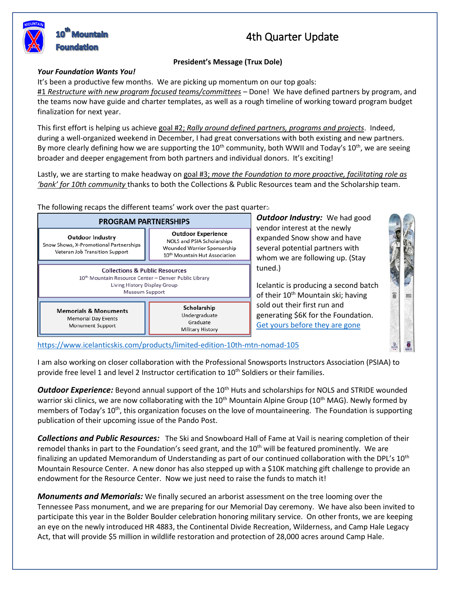# 4th Quarter Update

## **President's Message (Trux Dole)**

### *Your Foundation Wants You!*

It's been a productive few months. We are picking up momentum on our top goals:

#1 *Restructure with new program focused teams/committees* – Done! We have defined partners by program, and the teams now have guide and charter templates, as well as a rough timeline of working toward program budget finalization for next year.

This first effort is helping us achieve goal #2; *Rally around defined partners, programs and projects*. Indeed, during a well-organized weekend in December, I had great conversations with both existing and new partners. By more clearly defining how we are supporting the 10<sup>th</sup> community, both WWII and Today's 10<sup>th</sup>, we are seeing broader and deeper engagement from both partners and individual donors. It's exciting!

Lastly, we are starting to make headway on goal #3; *move the Foundation to more proactive, facilitating role as 'bank' for 10th community* thanks to both the Collections & Public Resources team and the Scholarship team.

The following recaps the different teams' work over the past quarter:<sup>i</sup>



*Outdoor Industry:* We had good vendor interest at the newly expanded Snow show and have several potential partners with whom we are following up. (Stay tuned.)

Icelantic is producing a second batch of their  $10^{th}$  Mountain ski; having sold out their first run and generating \$6K for the Foundation. [Get yours before they are gone](https://www.icelanticskis.com/products/limited-edition-10th-mtn-nomad-105)

<https://www.icelanticskis.com/products/limited-edition-10th-mtn-nomad-105>

I am also working on closer collaboration with the Professional Snowsports Instructors Association (PSIAA) to provide free level 1 and level 2 Instructor certification to 10<sup>th</sup> Soldiers or their families.

**Outdoor Experience:** Beyond annual support of the 10<sup>th</sup> Huts and scholarships for NOLS and STRIDE wounded warrior ski clinics, we are now collaborating with the 10<sup>th</sup> Mountain Alpine Group (10<sup>th</sup> MAG). Newly formed by members of Today's 10<sup>th</sup>, this organization focuses on the love of mountaineering. The Foundation is supporting publication of their upcoming issue of the Pando Post.

*Collections and Public Resources:* The Ski and Snowboard Hall of Fame at Vail is nearing completion of their remodel thanks in part to the Foundation's seed grant, and the 10<sup>th</sup> will be featured prominently. We are finalizing an updated Memorandum of Understanding as part of our continued collaboration with the DPL's 10<sup>th</sup> Mountain Resource Center. A new donor has also stepped up with a \$10K matching gift challenge to provide an endowment for the Resource Center. Now we just need to raise the funds to match it!

*Monuments and Memorials:* We finally secured an arborist assessment on the tree looming over the Tennessee Pass monument, and we are preparing for our Memorial Day ceremony. We have also been invited to participate this year in the Bolder Boulder celebration honoring military service. On other fronts, we are keeping an eye on the newly introduced HR 4883, the Continental Divide Recreation, Wilderness, and Camp Hale Legacy Act, that will provide \$5 million in wildlife restoration and protection of 28,000 acres around Camp Hale.